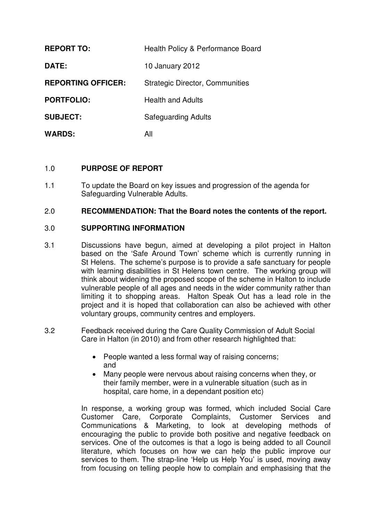| <b>REPORT TO:</b>         | Health Policy & Performance Board      |
|---------------------------|----------------------------------------|
| DATE:                     | 10 January 2012                        |
| <b>REPORTING OFFICER:</b> | <b>Strategic Director, Communities</b> |
| <b>PORTFOLIO:</b>         | <b>Health and Adults</b>               |
| <b>SUBJECT:</b>           | <b>Safeguarding Adults</b>             |
| <b>WARDS:</b>             | All                                    |

# 1.0 **PURPOSE OF REPORT**

1.1 To update the Board on key issues and progression of the agenda for Safeguarding Vulnerable Adults.

# 2.0 **RECOMMENDATION: That the Board notes the contents of the report.**

# 3.0 **SUPPORTING INFORMATION**

- 3.1 Discussions have begun, aimed at developing a pilot project in Halton based on the 'Safe Around Town' scheme which is currently running in St Helens. The scheme's purpose is to provide a safe sanctuary for people with learning disabilities in St Helens town centre. The working group will think about widening the proposed scope of the scheme in Halton to include vulnerable people of all ages and needs in the wider community rather than limiting it to shopping areas. Halton Speak Out has a lead role in the project and it is hoped that collaboration can also be achieved with other voluntary groups, community centres and employers.
- 3.2 Feedback received during the Care Quality Commission of Adult Social Care in Halton (in 2010) and from other research highlighted that:
	- People wanted a less formal way of raising concerns; and
	- Many people were nervous about raising concerns when they, or their family member, were in a vulnerable situation (such as in hospital, care home, in a dependant position etc)

In response, a working group was formed, which included Social Care Customer Care, Corporate Complaints, Customer Services and Communications & Marketing, to look at developing methods of encouraging the public to provide both positive and negative feedback on services. One of the outcomes is that a logo is being added to all Council literature, which focuses on how we can help the public improve our services to them. The strap-line 'Help us Help You' is used, moving away from focusing on telling people how to complain and emphasising that the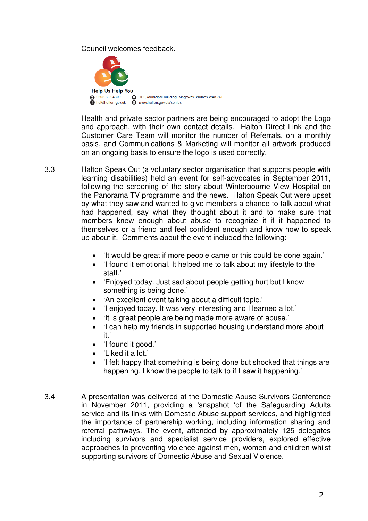Council welcomes feedback.



Health and private sector partners are being encouraged to adopt the Logo and approach, with their own contact details. Halton Direct Link and the Customer Care Team will monitor the number of Referrals, on a monthly basis, and Communications & Marketing will monitor all artwork produced on an ongoing basis to ensure the logo is used correctly.

3.3 Halton Speak Out (a voluntary sector organisation that supports people with learning disabilities) held an event for self-advocates in September 2011, following the screening of the story about Winterbourne View Hospital on the Panorama TV programme and the news. Halton Speak Out were upset by what they saw and wanted to give members a chance to talk about what had happened, say what they thought about it and to make sure that members knew enough about abuse to recognize it if it happened to themselves or a friend and feel confident enough and know how to speak up about it. Comments about the event included the following:

- It would be great if more people came or this could be done again.'
- 'I found it emotional. It helped me to talk about my lifestyle to the staff.'
- 'Enjoyed today. Just sad about people getting hurt but I know something is being done.'
- 'An excellent event talking about a difficult topic.'
- 'I enjoyed today. It was very interesting and I learned a lot.'
- 'It is great people are being made more aware of abuse.'
- I can help my friends in supported housing understand more about it.'
- 'I found it good.'
- 'Liked it a lot.'
- 'I felt happy that something is being done but shocked that things are happening. I know the people to talk to if I saw it happening.'
- 3.4 A presentation was delivered at the Domestic Abuse Survivors Conference in November 2011, providing a 'snapshot 'of the Safeguarding Adults service and its links with Domestic Abuse support services, and highlighted the importance of partnership working, including information sharing and referral pathways. The event, attended by approximately 125 delegates including survivors and specialist service providers, explored effective approaches to preventing violence against men, women and children whilst supporting survivors of Domestic Abuse and Sexual Violence.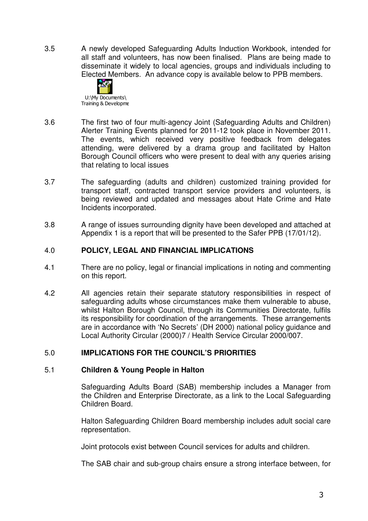3.5 A newly developed Safeguarding Adults Induction Workbook, intended for all staff and volunteers, has now been finalised. Plans are being made to disseminate it widely to local agencies, groups and individuals including to Elected Members. An advance copy is available below to PPB members.



- 3.6 The first two of four multi-agency Joint (Safeguarding Adults and Children) Alerter Training Events planned for 2011-12 took place in November 2011. The events, which received very positive feedback from delegates attending, were delivered by a drama group and facilitated by Halton Borough Council officers who were present to deal with any queries arising that relating to local issues
- 3.7 The safeguarding (adults and children) customized training provided for transport staff, contracted transport service providers and volunteers, is being reviewed and updated and messages about Hate Crime and Hate Incidents incorporated.
- 3.8 A range of issues surrounding dignity have been developed and attached at Appendix 1 is a report that will be presented to the Safer PPB (17/01/12).

# 4.0 **POLICY, LEGAL AND FINANCIAL IMPLICATIONS**

- 4.1 There are no policy, legal or financial implications in noting and commenting on this report.
- 4.2 All agencies retain their separate statutory responsibilities in respect of safeguarding adults whose circumstances make them vulnerable to abuse, whilst Halton Borough Council, through its Communities Directorate, fulfils its responsibility for coordination of the arrangements. These arrangements are in accordance with 'No Secrets' (DH 2000) national policy guidance and Local Authority Circular (2000)7 / Health Service Circular 2000/007.

# 5.0 **IMPLICATIONS FOR THE COUNCIL'S PRIORITIES**

# 5.1 **Children & Young People in Halton**

Safeguarding Adults Board (SAB) membership includes a Manager from the Children and Enterprise Directorate, as a link to the Local Safeguarding Children Board.

Halton Safeguarding Children Board membership includes adult social care representation.

Joint protocols exist between Council services for adults and children.

The SAB chair and sub-group chairs ensure a strong interface between, for